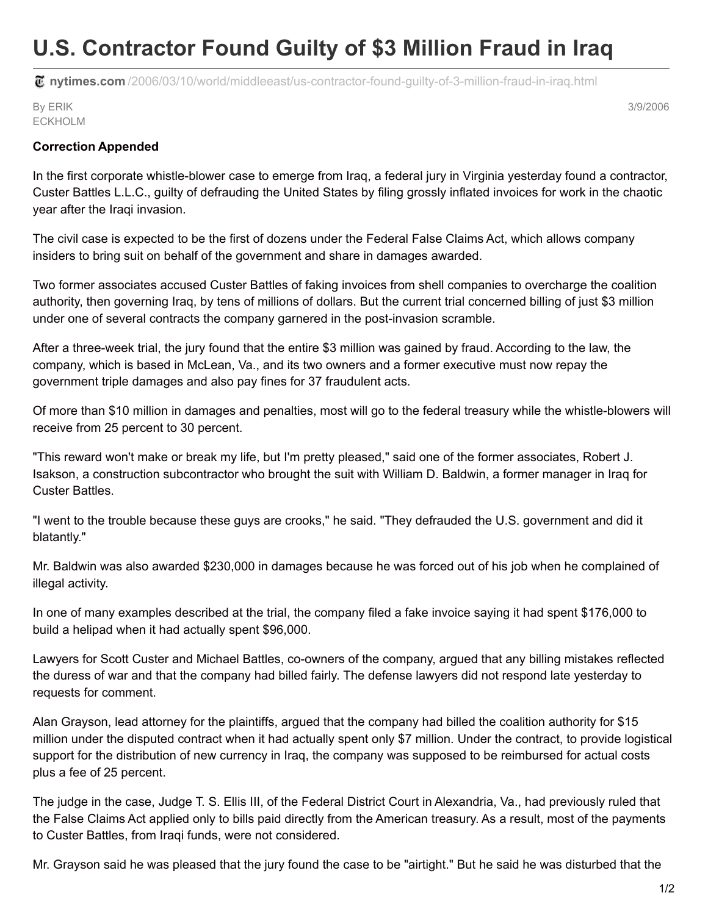## **U.S. Contractor Found Guilty of \$3 Million Fraud in Iraq**

**nytimes.com** [/2006/03/10/world/middleeast/us-contractor-found-guilty-of-3-million-fraud-in-iraq.html](http://www.nytimes.com/2006/03/10/world/middleeast/us-contractor-found-guilty-of-3-million-fraud-in-iraq.html)

By ERIK ECKHOLM 3/9/2006

## **Correction Appended**

In the first corporate whistle-blower case to emerge from Iraq, a federal jury in Virginia yesterday found a contractor, Custer Battles L.L.C., guilty of defrauding the United States by filing grossly inflated invoices for work in the chaotic year after the Iraqi invasion.

The civil case is expected to be the first of dozens under the Federal False Claims Act, which allows company insiders to bring suit on behalf of the government and share in damages awarded.

Two former associates accused Custer Battles of faking invoices from shell companies to overcharge the coalition authority, then governing Iraq, by tens of millions of dollars. But the current trial concerned billing of just \$3 million under one of several contracts the company garnered in the post-invasion scramble.

After a three-week trial, the jury found that the entire \$3 million was gained by fraud. According to the law, the company, which is based in McLean, Va., and its two owners and a former executive must now repay the government triple damages and also pay fines for 37 fraudulent acts.

Of more than \$10 million in damages and penalties, most will go to the federal treasury while the whistle-blowers will receive from 25 percent to 30 percent.

"This reward won't make or break my life, but I'm pretty pleased," said one of the former associates, Robert J. Isakson, a construction subcontractor who brought the suit with William D. Baldwin, a former manager in Iraq for Custer Battles.

"I went to the trouble because these guys are crooks," he said. "They defrauded the U.S. government and did it blatantly."

Mr. Baldwin was also awarded \$230,000 in damages because he was forced out of his job when he complained of illegal activity.

In one of many examples described at the trial, the company filed a fake invoice saying it had spent \$176,000 to build a helipad when it had actually spent \$96,000.

Lawyers for Scott Custer and Michael Battles, co-owners of the company, argued that any billing mistakes reflected the duress of war and that the company had billed fairly. The defense lawyers did not respond late yesterday to requests for comment.

Alan Grayson, lead attorney for the plaintiffs, argued that the company had billed the coalition authority for \$15 million under the disputed contract when it had actually spent only \$7 million. Under the contract, to provide logistical support for the distribution of new currency in Iraq, the company was supposed to be reimbursed for actual costs plus a fee of 25 percent.

The judge in the case, Judge T. S. Ellis III, of the Federal District Court in Alexandria, Va., had previously ruled that the False Claims Act applied only to bills paid directly from the American treasury. As a result, most of the payments to Custer Battles, from Iraqi funds, were not considered.

Mr. Grayson said he was pleased that the jury found the case to be "airtight." But he said he was disturbed that the